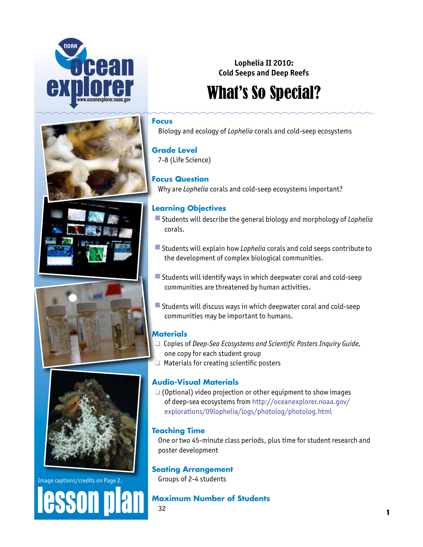









Image captions/credits on Page 2.

**ASSON** 

# **Lophelia II 2010: Cold Seeps and Deep Reefs**

# What's So Special?

## **Focus**

Biology and ecology of *Lophelia* corals and cold-seep ecosystems

# **Grade Level**

7-8 (Life Science)

# **Focus Question**

Why are *Lophelia* corals and cold-seep ecosystems important?

# **Learning Objectives**

- Students will describe the general biology and morphology of *Lophelia* corals.
- **E** Students will explain how *Lophelia* corals and cold seeps contribute to the development of complex biological communities.
- Students will identify ways in which deepwater coral and cold-seep communities are threatened by human activities.
- $\blacksquare$  Students will discuss ways in which deepwater coral and cold-seep communities may be important to humans.

# **Materials**

- □ Copies of *Deep-Sea Ecosystems and Scientific Posters Inquiry Guide*, one copy for each student group
- $\Box$  Materials for creating scientific posters

# **Audio-Visual Materials**

 $\Box$  (Optional) video projection or other equipment to show images of deep-sea ecosystems from [http://oceanexplorer.noaa.gov/](http://oceanexplorer.noaa.gov/explorations/09lophelia/logs/photolog/photolog.html) [explorations/09lophelia/logs/photolog/photolog.html](http://oceanexplorer.noaa.gov/explorations/09lophelia/logs/photolog/photolog.html)

# **Teaching Time**

One or two 45-minute class periods, plus time for student research and poster development

# **Seating Arrangement**

Groups of 2-4 students

# **Maximum Number of Students**

32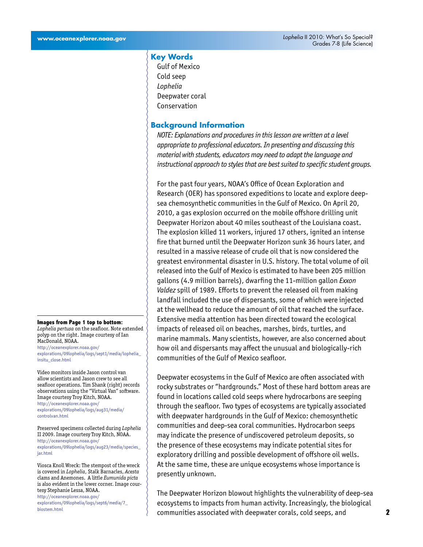## **Key Words**

Gulf of Mexico Cold seep *Lophelia* Deepwater coral Conservation

## **Background Information**

*NOTE: Explanations and procedures in this lesson are written at a level appropriate to professional educators. In presenting and discussing this material with students, educators may need to adapt the language and instructional approach to styles that are best suited to specific student groups.*

For the past four years, NOAA's Office of Ocean Exploration and Research (OER) has sponsored expeditions to locate and explore deepsea chemosynthetic communities in the Gulf of Mexico. On April 20, 2010, a gas explosion occurred on the mobile offshore drilling unit Deepwater Horizon about 40 miles southeast of the Louisiana coast. The explosion killed 11 workers, injured 17 others, ignited an intense fire that burned until the Deepwater Horizon sunk 36 hours later, and resulted in a massive release of crude oil that is now considered the greatest environmental disaster in U.S. history. The total volume of oil released into the Gulf of Mexico is estimated to have been 205 million gallons (4.9 million barrels), dwarfing the 11-million gallon *Exxon Valdez* spill of 1989. Efforts to prevent the released oil from making landfall included the use of dispersants, some of which were injected at the wellhead to reduce the amount of oil that reached the surface. Extensive media attention has been directed toward the ecological impacts of released oil on beaches, marshes, birds, turtles, and marine mammals. Many scientists, however, are also concerned about how oil and dispersants may affect the unusual and biologically-rich communities of the Gulf of Mexico seafloor.

Deepwater ecosystems in the Gulf of Mexico are often associated with rocky substrates or "hardgrounds." Most of these hard bottom areas are found in locations called cold seeps where hydrocarbons are seeping through the seafloor. Two types of ecosystems are typically associated with deepwater hardgrounds in the Gulf of Mexico: chemosynthetic communities and deep-sea coral communities. Hydrocarbon seeps may indicate the presence of undiscovered petroleum deposits, so the presence of these ecosystems may indicate potential sites for exploratory drilling and possible development of offshore oil wells. At the same time, these are unique ecosystems whose importance is presently unknown.

The Deepwater Horizon blowout highlights the vulnerability of deep-sea ecosystems to impacts from human activity. Increasingly, the biological communities associated with deepwater corals, cold seeps, and

#### **Images from Page 1 top to bottom:**

*Lophelia pertusa* on the seafloor. Note extended polyp on the right. Image courtesy of Ian MacDonald, NOAA. [http://oceanexplorer.noaa.gov/](http://oceanexplorer.noaa.gov/explorations/09lophelia/logs/sept1/media/lophelia_insitu_close.html) [explorations/09lophelia/logs/sept1/media/lophelia\\_](http://oceanexplorer.noaa.gov/explorations/09lophelia/logs/sept1/media/lophelia_insitu_close.html) [insitu\\_close.html](http://oceanexplorer.noaa.gov/explorations/09lophelia/logs/sept1/media/lophelia_insitu_close.html)

Video monitors inside Jason control van allow scientists and Jason crew to see all seafloor operations. Tim Shank (right) records observations using the "Virtual Van" software. Image courtesy Troy Kitch, NOAA. [http://oceanexplorer.noaa.gov/](http://oceanexplorer.noaa.gov/explorations/09lophelia/logs/aug31/media/controlvan.html) [explorations/09lophelia/logs/aug31/media/](http://oceanexplorer.noaa.gov/explorations/09lophelia/logs/aug31/media/controlvan.html) [controlvan.html](http://oceanexplorer.noaa.gov/explorations/09lophelia/logs/aug31/media/controlvan.html)

Preserved specimens collected during *Lophelia* II 2009. Image courtesy Troy Kitch, NOAA. [http://oceanexplorer.noaa.gov/](http://oceanexplorer.noaa.gov/explorations/09lophelia/logs/aug23/media/species_jar.html) [explorations/09lophelia/logs/aug23/media/species\\_](http://oceanexplorer.noaa.gov/explorations/09lophelia/logs/aug23/media/species_jar.html) [jar.html](http://oceanexplorer.noaa.gov/explorations/09lophelia/logs/aug23/media/species_jar.html)

Viosca Knoll Wreck: The stempost of the wreck is covered in *Lophelia*, Stalk Barnacles, *Acesta* clams and Anemones. A little *Eumunida picta* is also evident in the lower corner. Image courtesy Stephanie Lessa, NOAA. [http://oceanexplorer.noaa.gov/](http://oceanexplorer.noaa.gov/explorations/09lophelia/logs/sept6/media/7_biostem.html) [explorations/09lophelia/logs/sept6/media/7\\_](http://oceanexplorer.noaa.gov/explorations/09lophelia/logs/sept6/media/7_biostem.html) [biostem.html](http://oceanexplorer.noaa.gov/explorations/09lophelia/logs/sept6/media/7_biostem.html)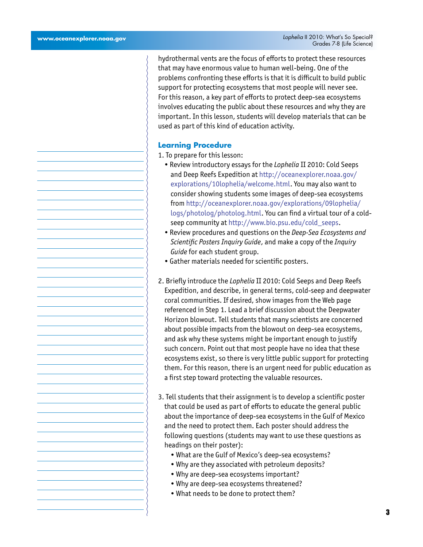hydrothermal vents are the focus of efforts to protect these resources that may have enormous value to human well-being. One of the problems confronting these efforts is that it is difficult to build public support for protecting ecosystems that most people will never see. For this reason, a key part of efforts to protect deep-sea ecosystems involves educating the public about these resources and why they are important. In this lesson, students will develop materials that can be used as part of this kind of education activity.

#### **Learning Procedure**

- 1. To prepare for this lesson:
	- Review introductory essays for the *Lophelia* II 2010: Cold Seeps and Deep Reefs Expedition at [http://oceanexplorer.noaa.gov/](http://oceanexplorer.noaa.gov//explorations/10lophelia/welcome.html) [explorations/10lophelia/welcome.html](http://oceanexplorer.noaa.gov//explorations/10lophelia/welcome.html). You may also want to consider showing students some images of deep-sea ecosystems from [http://oceanexplorer.noaa.gov/explorations/09lophelia/](http://oceanexplorer.noaa.gov/explorations/09lophelia/logs/photolog/photolog.html) [logs/photolog/photolog.html.](http://oceanexplorer.noaa.gov/explorations/09lophelia/logs/photolog/photolog.html) You can find a virtual tour of a coldseep community at [http://www.bio.psu.edu/cold\\_seeps](http://www.bio.psu.edu/cold_seeps).
	- Review procedures and questions on the *Deep-Sea Ecosystems and Scientific Posters Inquiry Guide*, and make a copy of the *Inquiry Guide* for each student group.
	- Gather materials needed for scientific posters.
- 2. Briefly introduce the *Lophelia* II 2010: Cold Seeps and Deep Reefs Expedition, and describe, in general terms, cold-seep and deepwater coral communities. If desired, show images from the Web page referenced in Step 1. Lead a brief discussion about the Deepwater Horizon blowout. Tell students that many scientists are concerned about possible impacts from the blowout on deep-sea ecosystems, and ask why these systems might be important enough to justify such concern. Point out that most people have no idea that these ecosystems exist, so there is very little public support for protecting them. For this reason, there is an urgent need for public education as a first step toward protecting the valuable resources.
- 3. Tell students that their assignment is to develop a scientific poster that could be used as part of efforts to educate the general public about the importance of deep-sea ecosystems in the Gulf of Mexico and the need to protect them. Each poster should address the following questions (students may want to use these questions as headings on their poster):
	- What are the Gulf of Mexico's deep-sea ecosystems?
	- Why are they associated with petroleum deposits?
	- Why are deep-sea ecosystems important?
	- Why are deep-sea ecosystems threatened?
	- What needs to be done to protect them?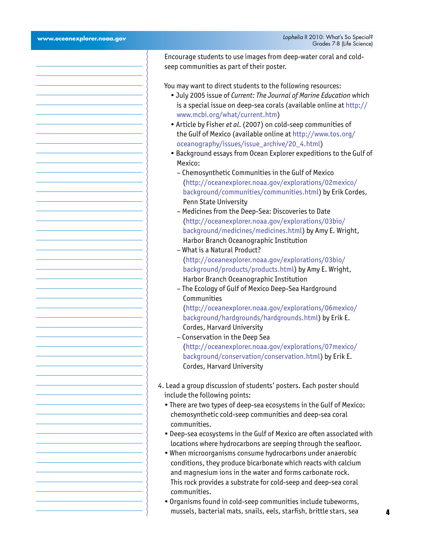| www.oceanexplorer.noaa.gov | Lophelia II 2010: What's So Special?<br>Grades 7-8 (Life Science)                                                                                                                                                                                                                                                                                                                                                          |
|----------------------------|----------------------------------------------------------------------------------------------------------------------------------------------------------------------------------------------------------------------------------------------------------------------------------------------------------------------------------------------------------------------------------------------------------------------------|
|                            | Encourage students to use images from deep-water coral and cold-<br>seep communities as part of their poster.                                                                                                                                                                                                                                                                                                              |
|                            | You may want to direct students to the following resources:<br>. July 2005 issue of Current: The Journal of Marine Education which<br>is a special issue on deep-sea corals (available online at http://<br>www.mcbi.org/what/current.htm)<br>• Article by Fisher et al. (2007) on cold-seep communities of<br>the Gulf of Mexico (available online at http://www.tos.org/<br>oceanography/issues/issue_archive/20_4.html) |
|                            | · Background essays from Ocean Explorer expeditions to the Gulf of<br>Mexico:<br>- Chemosynthetic Communities in the Gulf of Mexico<br>(http://oceanexplorer.noaa.gov/explorations/02mexico/<br>background/communities/communities.html) by Erik Cordes,                                                                                                                                                                   |
|                            | Penn State University<br>- Medicines from the Deep-Sea: Discoveries to Date<br>(http://oceanexplorer.noaa.gov/explorations/03bio/<br>background/medicines/medicines.html) by Amy E. Wright,<br>Harbor Branch Oceanographic Institution<br>- What is a Natural Product?                                                                                                                                                     |
|                            | (http://oceanexplorer.noaa.gov/explorations/03bio/<br>background/products/products.html) by Amy E. Wright,<br>Harbor Branch Oceanographic Institution<br>- The Ecology of Gulf of Mexico Deep-Sea Hardground<br>Communities                                                                                                                                                                                                |
|                            | (http://oceanexplorer.noaa.gov/explorations/06mexico/<br>background/hardgrounds/hardgrounds.html) by Erik E.<br>Cordes, Harvard University<br>- Conservation in the Deep Sea                                                                                                                                                                                                                                               |
|                            | (http://oceanexplorer.noaa.gov/explorations/07mexico/<br>background/conservation/conservation.html) by Erik E.<br>Cordes, Harvard University                                                                                                                                                                                                                                                                               |
|                            | 4. Lead a group discussion of students' posters. Each poster should<br>include the following points:<br>• There are two types of deep-sea ecosystems in the Gulf of Mexico:<br>chemosynthetic cold-seep communities and deep-sea coral<br>communities.                                                                                                                                                                     |
|                            | • Deep-sea ecosystems in the Gulf of Mexico are often associated with<br>locations where hydrocarbons are seeping through the seafloor.<br>. When microorganisms consume hydrocarbons under anaerobic<br>conditions, they produce bicarbonate which reacts with calcium<br>and magnesium ions in the water and forms carbonate rock.<br>This rock provides a substrate for cold-seep and deep-sea coral<br>communities.    |
|                            | · Organisms found in cold-seep communities include tubeworms,<br>mussels, bacterial mats, snails, eels, starfish, brittle stars, sea                                                                                                                                                                                                                                                                                       |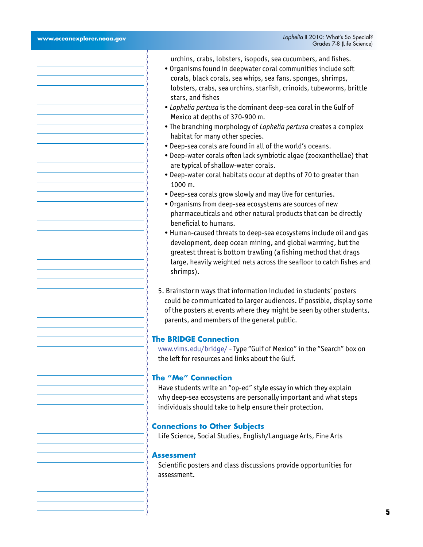urchins, crabs, lobsters, isopods, sea cucumbers, and fishes.

- Organisms found in deepwater coral communities include soft corals, black corals, sea whips, sea fans, sponges, shrimps, lobsters, crabs, sea urchins, starfish, crinoids, tubeworms, brittle stars, and fishes
- *Lophelia pertusa* is the dominant deep-sea coral in the Gulf of Mexico at depths of 370-900 m.
- The branching morphology of *Lophelia pertusa* creates a complex habitat for many other species.
- Deep-sea corals are found in all of the world's oceans.
- Deep-water corals often lack symbiotic algae (zooxanthellae) that are typical of shallow-water corals.
- Deep-water coral habitats occur at depths of 70 to greater than 1000 m.
- Deep-sea corals grow slowly and may live for centuries.
- Organisms from deep-sea ecosystems are sources of new pharmaceuticals and other natural products that can be directly beneficial to humans.
- Human-caused threats to deep-sea ecosystems include oil and gas development, deep ocean mining, and global warming, but the greatest threat is bottom trawling (a fishing method that drags large, heavily weighted nets across the seafloor to catch fishes and shrimps).
- 5. Brainstorm ways that information included in students' posters could be communicated to larger audiences. If possible, display some of the posters at events where they might be seen by other students, parents, and members of the general public.

### **The BRIDGE Connection**

<www.vims.edu/bridge/> - Type "Gulf of Mexico" in the "Search" box on the left for resources and links about the Gulf.

## **The "Me" Connection**

Have students write an "op-ed" style essay in which they explain why deep-sea ecosystems are personally important and what steps individuals should take to help ensure their protection.

#### **Connections to Other Subjects**

Life Science, Social Studies, English/Language Arts, Fine Arts

## **Assessment**

Scientific posters and class discussions provide opportunities for assessment.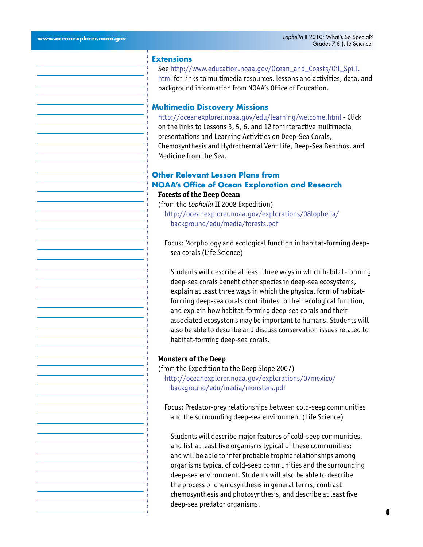## **Extensions**

See [http://www.education.noaa.gov/Ocean\\_and\\_Coasts/Oil\\_Spill.](http://www.education.noaa.gov/Ocean_and_Coasts/Oil_Spill.html) [html](http://www.education.noaa.gov/Ocean_and_Coasts/Oil_Spill.html) for links to multimedia resources, lessons and activities, data, and background information from NOAA's Office of Education.

### **Multimedia Discovery Missions**

<http://oceanexplorer.noaa.gov/edu/learning/welcome.html> - Click on the links to Lessons 3, 5, 6, and 12 for interactive multimedia presentations and Learning Activities on Deep-Sea Corals, Chemosynthesis and Hydrothermal Vent Life, Deep-Sea Benthos, and Medicine from the Sea.

# **Other Relevant Lesson Plans from NOAA's Office of Ocean Exploration and Research**

## **Forests of the Deep Ocean**

(from the *Lophelia* II 2008 Expedition) [http://oceanexplorer.noaa.gov/explorations/08lophelia/](http://oceanexplorer.noaa.gov/explorations/08lophelia/background/edu/media/forests.pdf) [background/edu/media/forests.pdf](http://oceanexplorer.noaa.gov/explorations/08lophelia/background/edu/media/forests.pdf)

Focus: Morphology and ecological function in habitat-forming deepsea corals (Life Science)

Students will describe at least three ways in which habitat-forming deep-sea corals benefit other species in deep-sea ecosystems, explain at least three ways in which the physical form of habitatforming deep-sea corals contributes to their ecological function, and explain how habitat-forming deep-sea corals and their associated ecosystems may be important to humans. Students will also be able to describe and discuss conservation issues related to habitat-forming deep-sea corals.

#### **Monsters of the Deep**

(from the Expedition to the Deep Slope 2007) [http://oceanexplorer.noaa.gov/explorations/07mexico/](http://oceanexplorer.noaa.gov/explorations/07mexico/background/edu/media/monsters.pdf) [background/edu/media/monsters.pdf](http://oceanexplorer.noaa.gov/explorations/07mexico/background/edu/media/monsters.pdf)

Focus: Predator-prey relationships between cold-seep communities and the surrounding deep-sea environment (Life Science)

Students will describe major features of cold-seep communities, and list at least five organisms typical of these communities; and will be able to infer probable trophic relationships among organisms typical of cold-seep communities and the surrounding deep-sea environment. Students will also be able to describe the process of chemosynthesis in general terms, contrast chemosynthesis and photosynthesis, and describe at least five deep-sea predator organisms.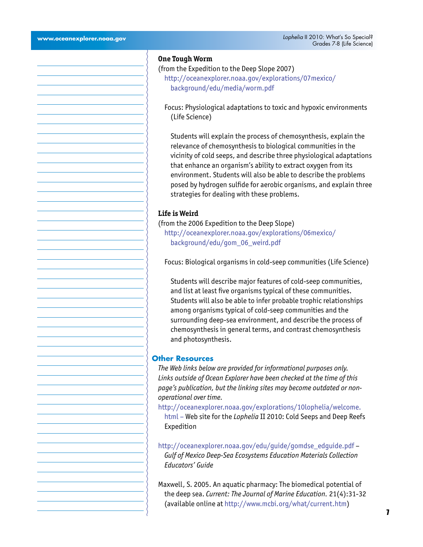#### **One Tough Worm**

- (from the Expedition to the Deep Slope 2007) [http://oceanexplorer.noaa.gov/explorations/07mexico/](http://oceanexplorer.noaa.gov/explorations/07mexico/background/edu/media/worm.pdf) [background/edu/media/worm.pdf](http://oceanexplorer.noaa.gov/explorations/07mexico/background/edu/media/worm.pdf)
	- Focus: Physiological adaptations to toxic and hypoxic environments (Life Science)

Students will explain the process of chemosynthesis, explain the relevance of chemosynthesis to biological communities in the vicinity of cold seeps, and describe three physiological adaptations that enhance an organism's ability to extract oxygen from its environment. Students will also be able to describe the problems posed by hydrogen sulfide for aerobic organisms, and explain three strategies for dealing with these problems.

## **Life is Weird**

(from the 2006 Expedition to the Deep Slope)

[http://oceanexplorer.noaa.gov/explorations/06mexico/](http://oceanexplorer.noaa.gov/explorations/06mexico/background/edu/gom_06_weird.pdf) [background/edu/gom\\_06\\_weird.pdf](http://oceanexplorer.noaa.gov/explorations/06mexico/background/edu/gom_06_weird.pdf)

Focus: Biological organisms in cold-seep communities (Life Science)

Students will describe major features of cold-seep communities, and list at least five organisms typical of these communities. Students will also be able to infer probable trophic relationships among organisms typical of cold-seep communities and the surrounding deep-sea environment, and describe the process of chemosynthesis in general terms, and contrast chemosynthesis and photosynthesis.

## **Other Resources**

*The Web links below are provided for informational purposes only. Links outside of Ocean Explorer have been checked at the time of this page's publication, but the linking sites may become outdated or nonoperational over time.*

[http://oceanexplorer.noaa.gov/explorations/10lophelia/welcome.](http://oceanexplorer.noaa.gov/explorations/10lophelia/welcome.html) [html](http://oceanexplorer.noaa.gov/explorations/10lophelia/welcome.html) – Web site for the *Lophelia* II 2010: Cold Seeps and Deep Reefs Expedition

[http://oceanexplorer.noaa.gov/edu/guide/gomdse\\_edguide.pdf](http://oceanexplorer.noaa.gov/edu/guide/gomdse_edguide.pdf) – *Gulf of Mexico Deep-Sea Ecosystems Education Materials Collection Educators' Guide*

Maxwell, S. 2005. An aquatic pharmacy: The biomedical potential of the deep sea. *Current: The Journal of Marine Education.* 21(4):31-32 (available online at [http://www.mcbi.org/what/current.htm\)](http://www.mcbi.org/what/current.htm)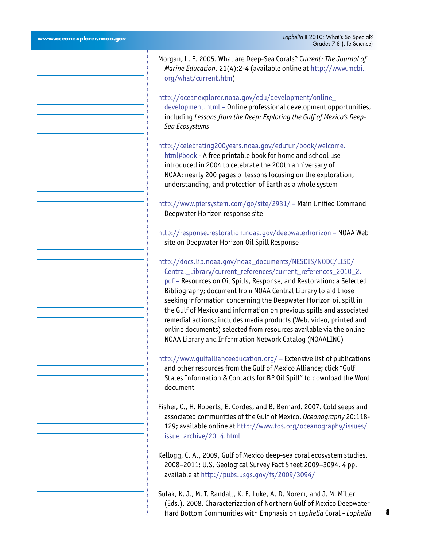| Morgan, L. E. 2005. What are Deep-Sea Corals? Current: The Journal of<br>Marine Education. 21(4):2-4 (available online at http://www.mcbi.<br>org/what/current.htm)                                                                                                                                                                                                                                                                                                                                                                                                                                                     |
|-------------------------------------------------------------------------------------------------------------------------------------------------------------------------------------------------------------------------------------------------------------------------------------------------------------------------------------------------------------------------------------------------------------------------------------------------------------------------------------------------------------------------------------------------------------------------------------------------------------------------|
| http://oceanexplorer.noaa.gov/edu/development/online_<br>development.html - Online professional development opportunities,<br>including Lessons from the Deep: Exploring the Gulf of Mexico's Deep-<br>Sea Ecosystems                                                                                                                                                                                                                                                                                                                                                                                                   |
| http://celebrating200years.noaa.gov/edufun/book/welcome.<br>html#book - A free printable book for home and school use<br>introduced in 2004 to celebrate the 200th anniversary of<br>NOAA; nearly 200 pages of lessons focusing on the exploration,<br>understanding, and protection of Earth as a whole system                                                                                                                                                                                                                                                                                                         |
| http://www.piersystem.com/go/site/2931/ - Main Unified Command<br>Deepwater Horizon response site                                                                                                                                                                                                                                                                                                                                                                                                                                                                                                                       |
| http://response.restoration.noaa.gov/deepwaterhorizon - NOAA Web<br>site on Deepwater Horizon Oil Spill Response                                                                                                                                                                                                                                                                                                                                                                                                                                                                                                        |
| http://docs.lib.noaa.gov/noaa_documents/NESDIS/NODC/LISD/<br>Central_Library/current_references/current_references_2010_2.<br>pdf - Resources on Oil Spills, Response, and Restoration: a Selected<br>Bibliography; document from NOAA Central Library to aid those<br>seeking information concerning the Deepwater Horizon oil spill in<br>the Gulf of Mexico and information on previous spills and associated<br>remedial actions; includes media products (Web, video, printed and<br>online documents) selected from resources available via the online<br>NOAA Library and Information Network Catalog (NOAALINC) |
| http://www.gulfallianceeducation.org/ - Extensive list of publications<br>and other resources from the Gulf of Mexico Alliance; click "Gulf<br>States Information & Contacts for BP Oil Spill" to download the Word<br>document                                                                                                                                                                                                                                                                                                                                                                                         |
| Fisher, C., H. Roberts, E. Cordes, and B. Bernard. 2007. Cold seeps and<br>associated communities of the Gulf of Mexico. Oceanography 20:118-<br>129; available online at http://www.tos.org/oceanography/issues/<br>issue_archive/20_4.html                                                                                                                                                                                                                                                                                                                                                                            |
| Kellogg, C. A., 2009, Gulf of Mexico deep-sea coral ecosystem studies,<br>2008-2011: U.S. Geological Survey Fact Sheet 2009-3094, 4 pp.<br>available at http://pubs.usgs.gov/fs/2009/3094/                                                                                                                                                                                                                                                                                                                                                                                                                              |
| Sulak, K. J., M. T. Randall, K. E. Luke, A. D. Norem, and J. M. Miller<br>(Eds.). 2008. Characterization of Northern Gulf of Mexico Deepwater<br>Hard Bottom Communities with Emphasis on Lophelia Coral - Lophelia                                                                                                                                                                                                                                                                                                                                                                                                     |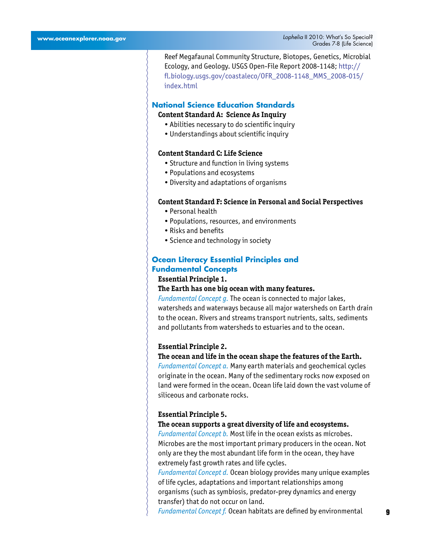Reef Megafaunal Community Structure, Biotopes, Genetics, Microbial Ecology, and Geology. USGS Open-File Report 2008-1148; [http://](http://fl.biology.usgs.gov/coastaleco/OFR_2008-1148_MMS_2008-015/index.html) [fl.biology.usgs.gov/coastaleco/OFR\\_2008-1148\\_MMS\\_2008-015/](http://fl.biology.usgs.gov/coastaleco/OFR_2008-1148_MMS_2008-015/index.html) [index.html](http://fl.biology.usgs.gov/coastaleco/OFR_2008-1148_MMS_2008-015/index.html)

## **National Science Education Standards Content Standard A: Science As Inquiry**

- Abilities necessary to do scientific inquiry
- Understandings about scientific inquiry

## **Content Standard C: Life Science**

- Structure and function in living systems
- Populations and ecosystems
- Diversity and adaptations of organisms

#### **Content Standard F: Science in Personal and Social Perspectives**

- Personal health
- Populations, resources, and environments
- Risks and benefits
- Science and technology in society

## **Ocean Literacy Essential Principles and Fundamental Concepts**

#### **Essential Principle 1.**

## **The Earth has one big ocean with many features.**

*Fundamental Concept g.* The ocean is connected to major lakes, watersheds and waterways because all major watersheds on Earth drain to the ocean. Rivers and streams transport nutrients, salts, sediments and pollutants from watersheds to estuaries and to the ocean.

#### **Essential Principle 2.**

#### **The ocean and life in the ocean shape the features of the Earth.**

*Fundamental Concept a.* Many earth materials and geochemical cycles originate in the ocean. Many of the sedimentary rocks now exposed on land were formed in the ocean. Ocean life laid down the vast volume of siliceous and carbonate rocks.

#### **Essential Principle 5.**

#### **The ocean supports a great diversity of life and ecosystems.**

*Fundamental Concept b.* Most life in the ocean exists as microbes. Microbes are the most important primary producers in the ocean. Not only are they the most abundant life form in the ocean, they have extremely fast growth rates and life cycles.

*Fundamental Concept d.* Ocean biology provides many unique examples of life cycles, adaptations and important relationships among organisms (such as symbiosis, predator-prey dynamics and energy transfer) that do not occur on land.

*Fundamental Concept f.* Ocean habitats are defined by environmental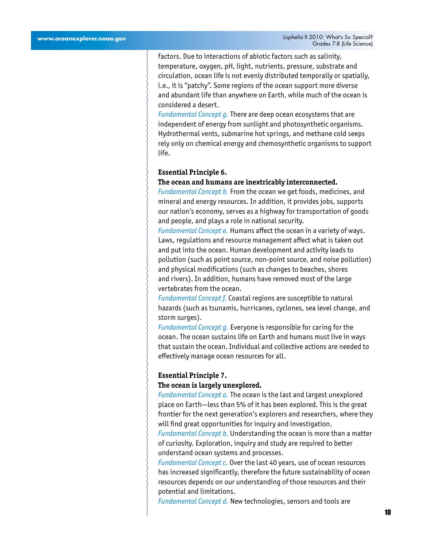factors. Due to interactions of abiotic factors such as salinity, temperature, oxygen, pH, light, nutrients, pressure, substrate and circulation, ocean life is not evenly distributed temporally or spatially, i.e., it is "patchy". Some regions of the ocean support more diverse and abundant life than anywhere on Earth, while much of the ocean is considered a desert.

*Fundamental Concept g.* There are deep ocean ecosystems that are independent of energy from sunlight and photosynthetic organisms. Hydrothermal vents, submarine hot springs, and methane cold seeps rely only on chemical energy and chemosynthetic organisms to support life.

#### **Essential Principle 6.**

## **The ocean and humans are inextricably interconnected.**

*Fundamental Concept b.* From the ocean we get foods, medicines, and mineral and energy resources. In addition, it provides jobs, supports our nation's economy, serves as a highway for transportation of goods and people, and plays a role in national security.

*Fundamental Concept e.* Humans affect the ocean in a variety of ways. Laws, regulations and resource management affect what is taken out and put into the ocean. Human development and activity leads to pollution (such as point source, non-point source, and noise pollution) and physical modifications (such as changes to beaches, shores and rivers). In addition, humans have removed most of the large vertebrates from the ocean.

*Fundamental Concept f.* Coastal regions are susceptible to natural hazards (such as tsunamis, hurricanes, cyclones, sea level change, and storm surges).

*Fundamental Concept g.* Everyone is responsible for caring for the ocean. The ocean sustains life on Earth and humans must live in ways that sustain the ocean. Individual and collective actions are needed to effectively manage ocean resources for all.

### **Essential Principle 7.**

#### **The ocean is largely unexplored.**

*Fundamental Concept a.* The ocean is the last and largest unexplored place on Earth—less than 5% of it has been explored. This is the great frontier for the next generation's explorers and researchers, where they will find great opportunities for inquiry and investigation.

*Fundamental Concept b.* Understanding the ocean is more than a matter of curiosity. Exploration, inquiry and study are required to better understand ocean systems and processes.

*Fundamental Concept c.* Over the last 40 years, use of ocean resources has increased significantly, therefore the future sustainability of ocean resources depends on our understanding of those resources and their potential and limitations.

*Fundamental Concept d.* New technologies, sensors and tools are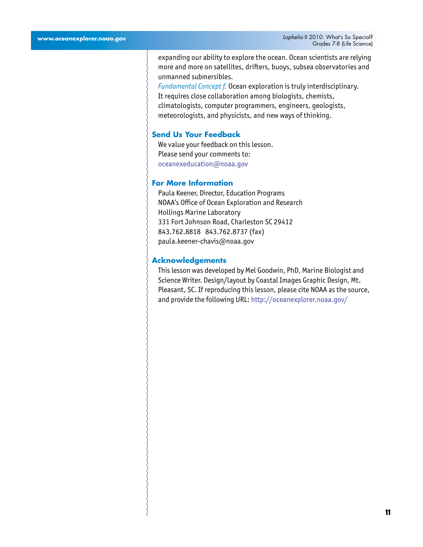expanding our ability to explore the ocean. Ocean scientists are relying more and more on satellites, drifters, buoys, subsea observatories and unmanned submersibles.

*Fundamental Concept f.* Ocean exploration is truly interdisciplinary. It requires close collaboration among biologists, chemists, climatologists, computer programmers, engineers, geologists, meteorologists, and physicists, and new ways of thinking.

## **Send Us Your Feedback**

We value your feedback on this lesson. Please send your comments to: oceanexeducation@noaa.gov

## **For More Information**

Paula Keener, Director, Education Programs NOAA's Office of Ocean Exploration and Research Hollings Marine Laboratory 331 Fort Johnson Road, Charleston SC 29412 843.762.8818 843.762.8737 (fax) paula.keener-chavis@noaa.gov

#### **Acknowledgements**

This lesson was developed by Mel Goodwin, PhD, Marine Biologist and Science Writer. Design/layout by Coastal Images Graphic Design, Mt. Pleasant, SC. If reproducing this lesson, please cite NOAA as the source, and provide the following URL: <http://oceanexplorer.noaa.gov/>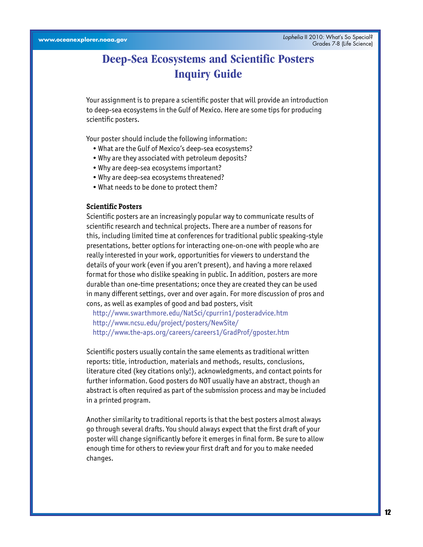# **Deep-Sea Ecosystems and Scientific Posters Inquiry Guide**

Your assignment is to prepare a scientific poster that will provide an introduction to deep-sea ecosystems in the Gulf of Mexico. Here are some tips for producing scientific posters.

Your poster should include the following information:

- What are the Gulf of Mexico's deep-sea ecosystems?
- Why are they associated with petroleum deposits?
- Why are deep-sea ecosystems important?
- Why are deep-sea ecosystems threatened?
- What needs to be done to protect them?

## **Scientific Posters**

Scientific posters are an increasingly popular way to communicate results of scientific research and technical projects. There are a number of reasons for this, including limited time at conferences for traditional public speaking-style presentations, better options for interacting one-on-one with people who are really interested in your work, opportunities for viewers to understand the details of your work (even if you aren't present), and having a more relaxed format for those who dislike speaking in public. In addition, posters are more durable than one-time presentations; once they are created they can be used in many different settings, over and over again. For more discussion of pros and cons, as well as examples of good and bad posters, visit

<http://www.swarthmore.edu/NatSci/cpurrin1/posteradvice.htm> <http://www.ncsu.edu/project/posters/NewSite/> <http://www.the-aps.org/careers/careers1/GradProf/gposter.htm>

Scientific posters usually contain the same elements as traditional written reports: title, introduction, materials and methods, results, conclusions, literature cited (key citations only!), acknowledgments, and contact points for further information. Good posters do NOT usually have an abstract, though an abstract is often required as part of the submission process and may be included in a printed program.

Another similarity to traditional reports is that the best posters almost always go through several drafts. You should always expect that the first draft of your poster will change significantly before it emerges in final form. Be sure to allow enough time for others to review your first draft and for you to make needed changes.